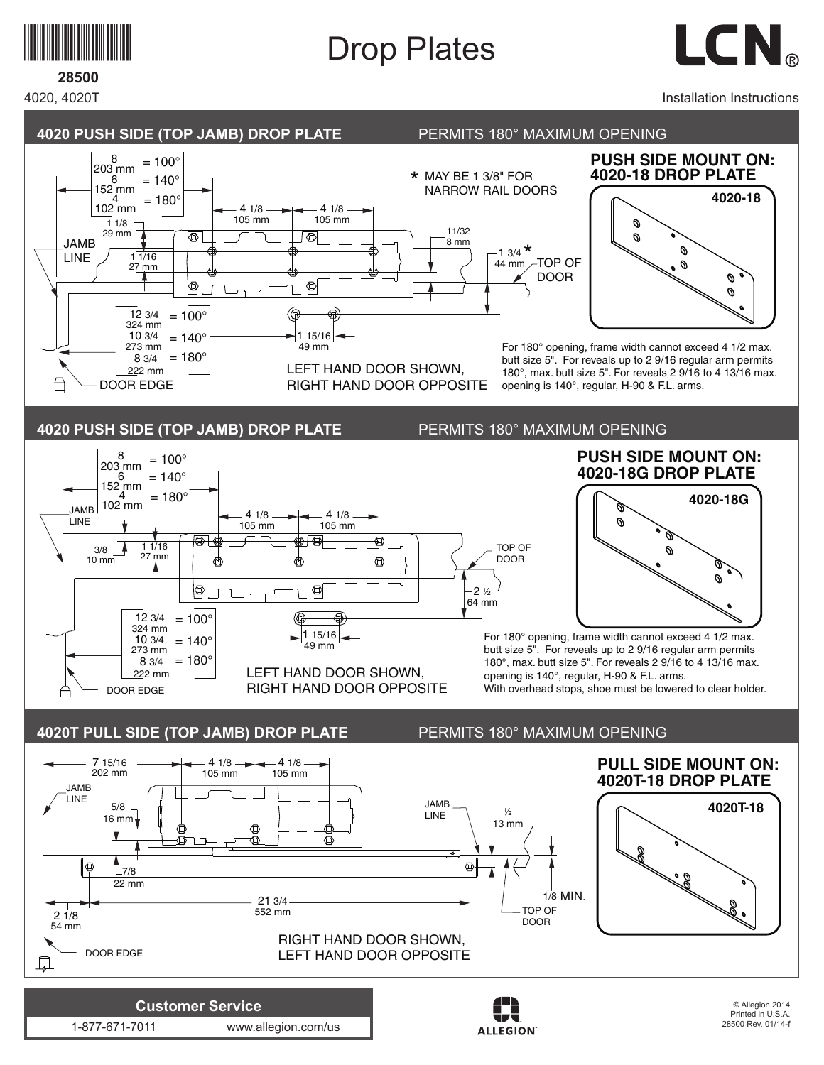

## Drop Plates



## **28500**

4020, 4020T

## Installation Instructions

28500 Rev. 01/14-f



**ALLEGION** 

1-877-671-7011 www.allegion.com/us